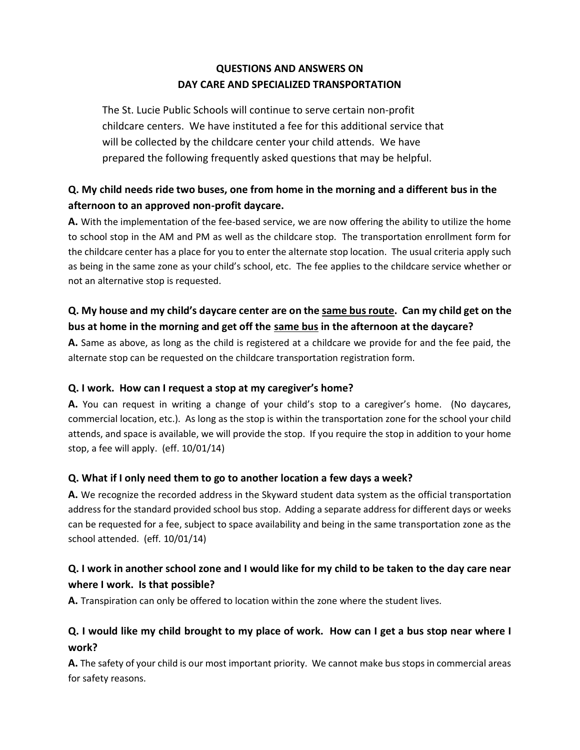### **QUESTIONS AND ANSWERS ON DAY CARE AND SPECIALIZED TRANSPORTATION**

The St. Lucie Public Schools will continue to serve certain non-profit childcare centers. We have instituted a fee for this additional service that will be collected by the childcare center your child attends. We have prepared the following frequently asked questions that may be helpful.

# **Q. My child needs ride two buses, one from home in the morning and a different bus in the afternoon to an approved non-profit daycare.**

**A.** With the implementation of the fee-based service, we are now offering the ability to utilize the home to school stop in the AM and PM as well as the childcare stop. The transportation enrollment form for the childcare center has a place for you to enter the alternate stop location. The usual criteria apply such as being in the same zone as your child's school, etc. The fee applies to the childcare service whether or not an alternative stop is requested.

### **Q. My house and my child's daycare center are on the same bus route. Can my child get on the bus at home in the morning and get off the same bus in the afternoon at the daycare?**

**A.** Same as above, as long as the child is registered at a childcare we provide for and the fee paid, the alternate stop can be requested on the childcare transportation registration form.

#### **Q. I work. How can I request a stop at my caregiver's home?**

**A.** You can request in writing a change of your child's stop to a caregiver's home. (No daycares, commercial location, etc.). As long as the stop is within the transportation zone for the school your child attends, and space is available, we will provide the stop. If you require the stop in addition to your home stop, a fee will apply. (eff. 10/01/14)

#### **Q. What if I only need them to go to another location a few days a week?**

**A.** We recognize the recorded address in the Skyward student data system as the official transportation address for the standard provided school bus stop. Adding a separate address for different days or weeks can be requested for a fee, subject to space availability and being in the same transportation zone as the school attended. (eff. 10/01/14)

### **Q. I work in another school zone and I would like for my child to be taken to the day care near where I work. Is that possible?**

**A.** Transpiration can only be offered to location within the zone where the student lives.

### **Q. I would like my child brought to my place of work. How can I get a bus stop near where I work?**

**A.** The safety of your child is our most important priority. We cannot make bus stops in commercial areas for safety reasons.